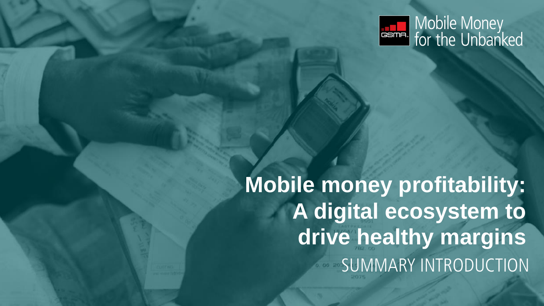SUMMARY INTRODUCTION **Mobile money profitability: A digital ecosystem to drive healthy margins**



# **Estimal** Mobile Money<br>for the Unbanked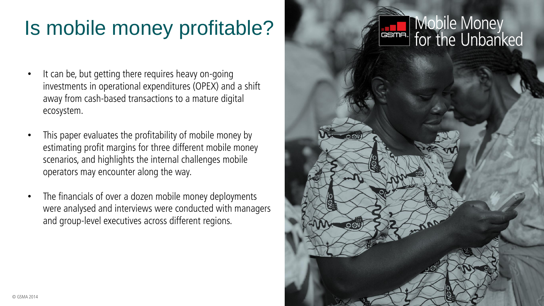## **English Mobile Money**<br>for the Unbanked

### Is mobile money profitable?

- It can be, but getting there requires heavy on-going investments in operational expenditures (OPEX) and a shift away from cash-based transactions to a mature digital ecosystem.
- This paper evaluates the profitability of mobile money by estimating profit margins for three different mobile money scenarios, and highlights the internal challenges mobile operators may encounter along the way.
- The financials of over a dozen mobile money deployments were analysed and interviews were conducted with managers and group-level executives across different regions.

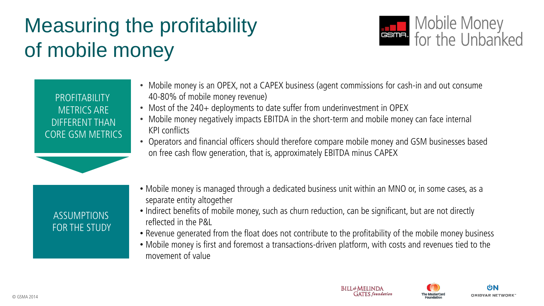# **ESTIE:** Mobile Money<br>for the Unbanked







### Measuring the profitability of mobile money



**PROFITABILITY** METRICS ARE DIFFERENT THAN CORE GSM METRICS

- Mobile money is an OPEX, not a CAPEX business (agent commissions for cash-in and out consume 40-80% of mobile money revenue)
- Most of the 240+ deployments to date suffer from underinvestment in OPEX
- Mobile money negatively impacts EBITDA in the short-term and mobile money can face internal KPI conflicts
- Operators and financial officers should therefore compare mobile money and GSM businesses based on free cash flow generation, that is, approximately EBITDA minus CAPEX

### ASSUMPTIONS FOR THE STUDY

- Mobile money is managed through a dedicated business unit within an MNO or, in some cases, as a separate entity altogether
- Indirect benefits of mobile money, such as churn reduction, can be significant, but are not directly reflected in the P&L
- 
- Revenue generated from the float does not contribute to the profitability of the mobile money business • Mobile money is first and foremost a transactions-driven platform, with costs and revenues tied to the movement of value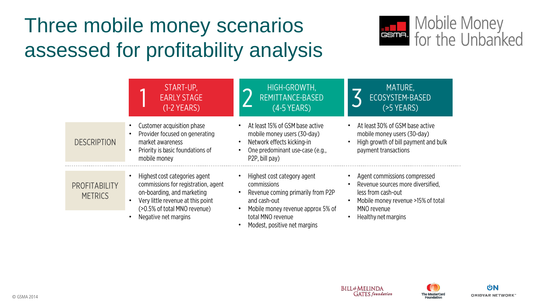

## Mobile Money<br>Faller for the Unbanked

#### MATURE, ECOSYSTEM-BASED  $($ >5 YEARS)

• At least 30% of GSM base active mobile money users (30-day) • High growth of bill payment and bulk payment transactions

Agent commissions compressed Revenue sources more diversified, • Mobile money revenue >15% of total





### Three mobile money scenarios assessed for profitability analysis



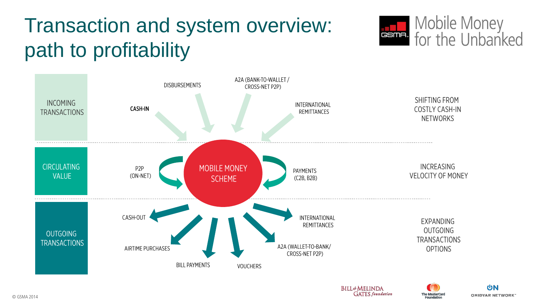

## **ESTIE:** Mobile Money<br>for the Unbanked

**SHIFTING FROM COSTLY CASH-IN NETWORKS** 

**INCREASING VELOCITY OF MONEY** 

> **EXPANDING OUTGOING TRANSACTIONS OPTIONS**







### Transaction and system overview: path to profitability



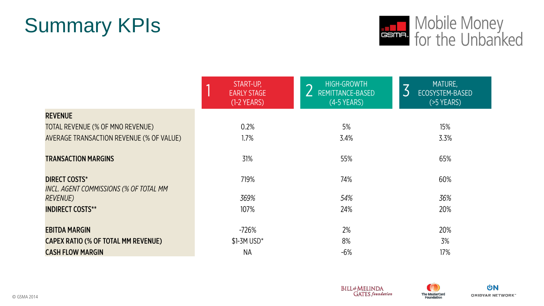

## **ESTILE:** Mobile Money<br>for the Unbanked

|   | MATURE.         |
|---|-----------------|
| 3 | ECOSYSTEM-BASED |
|   | I(>5 YEARS)     |







### Summary KPIs

|                                                                | START-UP,<br><b>EARLY STAGE</b><br>$(1-2$ YEARS) | <b>HIGH-GROWTH</b><br>REMITTANCE-BASED<br>$(4-5$ YEARS) |
|----------------------------------------------------------------|--------------------------------------------------|---------------------------------------------------------|
| <b>REVENUE</b>                                                 |                                                  |                                                         |
| TOTAL REVENUE (% OF MNO REVENUE)                               | 0.2%                                             | 5%                                                      |
| AVERAGE TRANSACTION REVENUE (% OF VALUE)                       | 1.7%                                             | 3.4%                                                    |
| <b>TRANSACTION MARGINS</b>                                     | 31%                                              | 55%                                                     |
| <b>DIRECT COSTS*</b><br>INCL. AGENT COMMISSIONS (% OF TOTAL MM | 719%                                             | 74%                                                     |
| <i>REVENUE)</i>                                                | 369%                                             | 54%                                                     |
| <b>INDIRECT COSTS**</b>                                        | 107%                                             | 24%                                                     |
| <b>EBITDA MARGIN</b>                                           | $-726%$                                          | 2%                                                      |
| CAPEX RATIO (% OF TOTAL MM REVENUE)                            | $$1-3M$ USD*                                     | 8%                                                      |
| <b>CASH FLOW MARGIN</b>                                        | <b>NA</b>                                        | $-6%$                                                   |